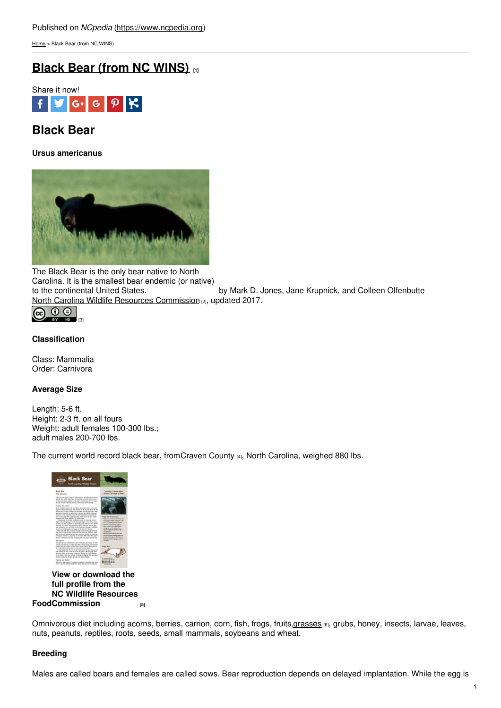[Home](https://www.ncpedia.org/) > Black Bear (from NC WINS)

# **Black Bear (from NC [WINS\)](https://www.ncpedia.org/black-bear-nc-wins) [1]**



# **Black Bear**

**Ursus americanus**



The Black Bear is the only bear native to North Carolina. It is the smallest bear endemic (or native) by Mark D. Jones, Jane Krupnick, and Colleen Olfenbutte North Carolina Wildlife Resources [Commission](https://www.ncwildlife.org/) [2], updated 2017.



# **Classification**

Class: Mammalia Order: Carnivora

# **Average Size**

Length: 5-6 ft. Height: 2-3 ft. on all fours Weight: adult females 100-300 lbs.; adult males 200-700 lbs.

The current world record black bear, from [Craven](https://www.ncpedia.org/geography/craven) County [4], North Carolina, weighed 880 lbs.



**Food [Commission](https://www.ncwildlife.org/Portals/0/Conserving/documents/Profiles/Black-Bear_Profile.pdf) [5] View or download the full profile from the NC Wildlife Resources**

Omnivorous diet including acorns, berries, carrion, corn, fish, frogs, fruits, grasses [6], grubs, honey, insects, larvae, leaves, nuts, peanuts, reptiles, roots, seeds, small mammals, soybeans and wheat.

# **Breeding**

Males are called boars and females are called sows. Bear reproduction depends on delayed implantation. While the egg is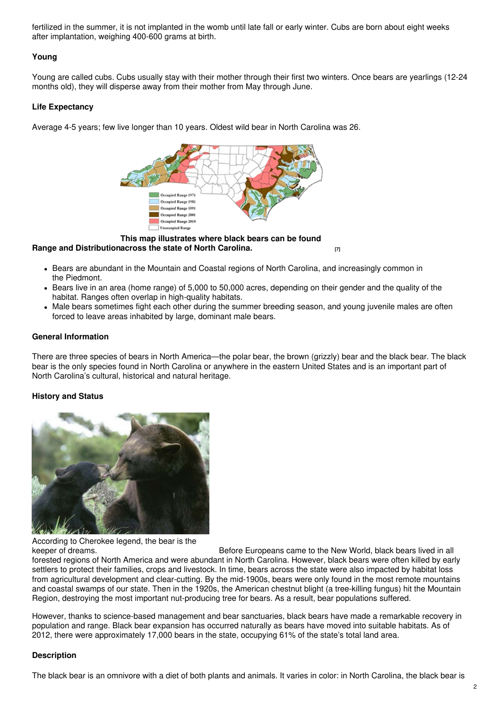fertilized in the summer, it is not implanted in the womb until late fall or early winter. Cubs are born about eight weeks after implantation, weighing 400-600 grams at birth.

# **Young**

Young are called cubs. Cubs usually stay with their mother through their first two winters. Once bears are yearlings (12-24 months old), they will disperse away from their mother from May through June.

### **Life Expectancy**

Average 4-5 years; few live longer than 10 years. Oldest wild bear in North Carolina was 26.



**Range and Distribution across the state of North [Carolina.](https://www.ncwildlife.org/Learning/Species/Mammals/Black-Bear#24981731-related-linksbrbr) [7] This map illustrates where black bears can be found**

- Bears are abundant in the Mountain and Coastal regions of North Carolina, and increasingly common in the Piedmont.
- Bears live in an area (home range) of 5,000 to 50,000 acres, depending on their gender and the quality of the habitat. Ranges often overlap in high-quality habitats.
- Male bears sometimes fight each other during the summer breeding season, and young juvenile males are often forced to leave areas inhabited by large, dominant male bears.

#### **General Information**

There are three species of bears in North America—the polar bear, the brown (grizzly) bear and the black bear. The black bear is the only species found in North Carolina or anywhere in the eastern United States and is an important part of North Carolina's cultural, historical and natural heritage.

# **History and Status**



According to Cherokee legend, the bear is the

keeper of dreams. The same of dreams. Before Europeans came to the New World, black bears lived in all forested regions of North America and were abundant in North Carolina. However, black bears were often killed by early settlers to protect their families, crops and livestock. In time, bears across the state were also impacted by habitat loss from agricultural development and clear-cutting. By the mid-1900s, bears were only found in the most remote mountains and coastal swamps of our state. Then in the 1920s, the American chestnut blight (a tree-killing fungus) hit the Mountain Region, destroying the most important nut-producing tree for bears. As a result, bear populations suffered.

However, thanks to science-based management and bear sanctuaries, black bears have made a remarkable recovery in population and range. Black bear expansion has occurred naturally as bears have moved into suitable habitats. As of 2012, there were approximately 17,000 bears in the state, occupying 61% of the state's total land area.

#### **Description**

The black bear is an omnivore with a diet of both plants and animals. It varies in color: in North Carolina, the black bear is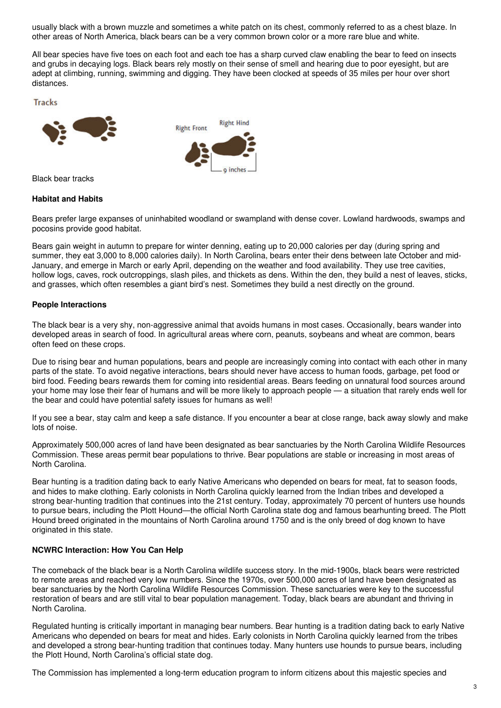usually black with a brown muzzle and sometimes a white patch on its chest, commonly referred to as a chest blaze. In other areas of North America, black bears can be a very common brown color or a more rare blue and white.

All bear species have five toes on each foot and each toe has a sharp curved claw enabling the bear to feed on insects and grubs in decaying logs. Black bears rely mostly on their sense of smell and hearing due to poor eyesight, but are adept at climbing, running, swimming and digging. They have been clocked at speeds of 35 miles per hour over short distances.

**Tracks** 



Black bear tracks

#### **Habitat and Habits**

Bears prefer large expanses of uninhabited woodland or swampland with dense cover. Lowland hardwoods, swamps and pocosins provide good habitat.

Bears gain weight in autumn to prepare for winter denning, eating up to 20,000 calories per day (during spring and summer, they eat 3,000 to 8,000 calories daily). In North Carolina, bears enter their dens between late October and mid-January, and emerge in March or early April, depending on the weather and food availability. They use tree cavities, hollow logs, caves, rock outcroppings, slash piles, and thickets as dens. Within the den, they build a nest of leaves, sticks, and grasses, which often resembles a giant bird's nest. Sometimes they build a nest directly on the ground.

#### **People Interactions**

The black bear is a very shy, non-aggressive animal that avoids humans in most cases. Occasionally, bears wander into developed areas in search of food. In agricultural areas where corn, peanuts, soybeans and wheat are common, bears often feed on these crops.

Due to rising bear and human populations, bears and people are increasingly coming into contact with each other in many parts of the state. To avoid negative interactions, bears should never have access to human foods, garbage, pet food or bird food. Feeding bears rewards them for coming into residential areas. Bears feeding on unnatural food sources around your home may lose their fear of humans and will be more likely to approach people — a situation that rarely ends well for the bear and could have potential safety issues for humans as well!

If you see a bear, stay calm and keep a safe distance. If you encounter a bear at close range, back away slowly and make lots of noise.

Approximately 500,000 acres of land have been designated as bear sanctuaries by the North Carolina Wildlife Resources Commission. These areas permit bear populations to thrive. Bear populations are stable or increasing in most areas of North Carolina.

Bear hunting is a tradition dating back to early Native Americans who depended on bears for meat, fat to season foods, and hides to make clothing. Early colonists in North Carolina quickly learned from the Indian tribes and developed a strong bear-hunting tradition that continues into the 21st century. Today, approximately 70 percent of hunters use hounds to pursue bears, including the Plott Hound—the official North Carolina state dog and famous bearhunting breed. The Plott Hound breed originated in the mountains of North Carolina around 1750 and is the only breed of dog known to have originated in this state.

#### **NCWRC Interaction: How You Can Help**

The comeback of the black bear is a North Carolina wildlife success story. In the mid-1900s, black bears were restricted to remote areas and reached very low numbers. Since the 1970s, over 500,000 acres of land have been designated as bear sanctuaries by the North Carolina Wildlife Resources Commission. These sanctuaries were key to the successful restoration of bears and are still vital to bear population management. Today, black bears are abundant and thriving in North Carolina.

Regulated hunting is critically important in managing bear numbers. Bear hunting is a tradition dating back to early Native Americans who depended on bears for meat and hides. Early colonists in North Carolina quickly learned from the tribes and developed a strong bear-hunting tradition that continues today. Many hunters use hounds to pursue bears, including the Plott Hound, North Carolina's official state dog.

The Commission has implemented a long-term education program to inform citizens about this majestic species and